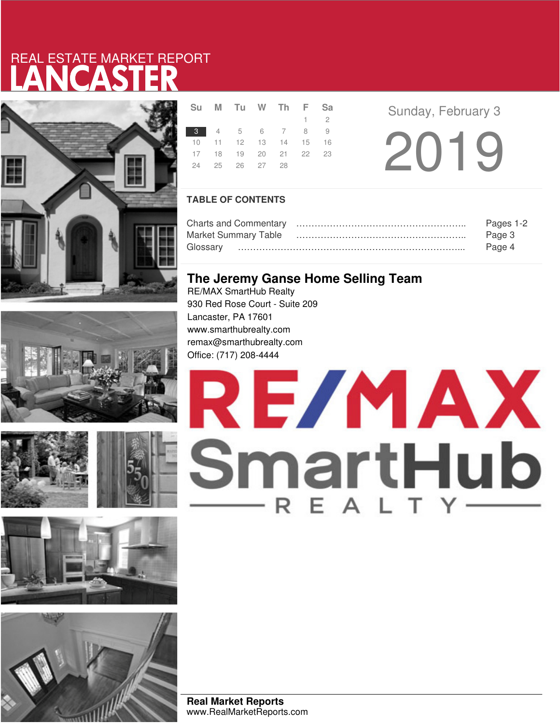# LANCASTER REAL ESTATE MARKET REPORT











|  | Su M Tu W Th F Sa          |  |             |  |
|--|----------------------------|--|-------------|--|
|  |                            |  | $1 \quad 2$ |  |
|  | 3 4 5 6 7 8 9              |  |             |  |
|  | 10 11 12 13 14 15 16       |  |             |  |
|  | 17 18 19 20 21 22 23       |  |             |  |
|  | 24    25    26    27    28 |  |             |  |

2019 **Sunday, February 3** 

### **TABLE OF CONTENTS**

|                      | Pages 1-2 |
|----------------------|-----------|
| Market Summary Table | Page 3    |
|                      | Page 4    |

## **The Jeremy Ganse Home Selling Team**

RE/MAX SmartHub Realty 930 Red Rose Court - Suite 209 Lancaster, PA 17601 www.smarthubrealty.com remax@smarthubrealty.com Office: (717) 208-4444



**Real Market Reports** www.RealMarketReports.com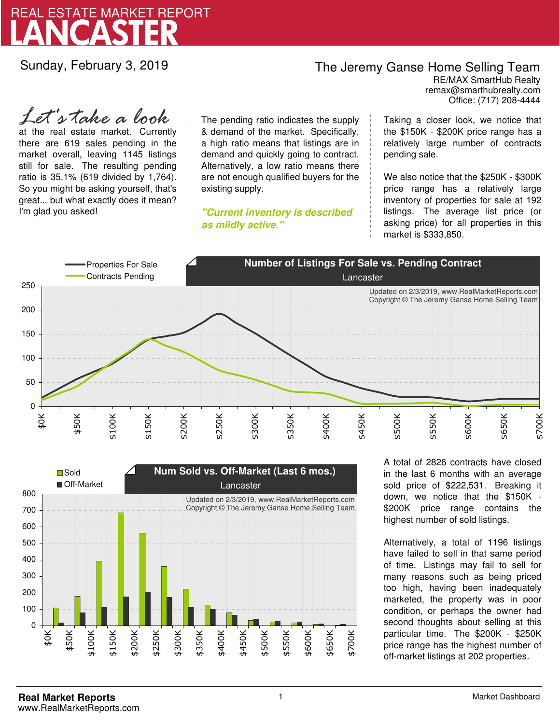

Sunday, February 3, 2019

## The Jeremy Ganse Home Selling Team

remax@smarthubrealty.com RE/MAX SmartHub Realty Office: (717) 208-4444

at the real estate market. Currently there are 619 sales pending in the market overall, leaving 1145 listings still for sale. The resulting pending ratio is 35.1% (619 divided by 1,764). So you might be asking yourself, that's great... but what exactly does it mean? I'm glad you asked! *Let's take a look*

The pending ratio indicates the supply & demand of the market. Specifically, a high ratio means that listings are in demand and quickly going to contract. Alternatively, a low ratio means there are not enough qualified buyers for the existing supply.

**"Current inventory is described as mildly active."**

Taking a closer look, we notice that the \$150K - \$200K price range has a relatively large number of contracts pending sale.

We also notice that the \$250K - \$300K price range has a relatively large inventory of properties for sale at 192 listings. The average list price (or asking price) for all properties in this market is \$333,850.





A total of 2826 contracts have closed in the last 6 months with an average sold price of \$222,531. Breaking it down, we notice that the \$150K - \$200K price range contains the highest number of sold listings.

Alternatively, a total of 1196 listings have failed to sell in that same period of time. Listings may fail to sell for many reasons such as being priced too high, having been inadequately marketed, the property was in poor condition, or perhaps the owner had second thoughts about selling at this particular time. The \$200K - \$250K price range has the highest number of off-market listings at 202 properties.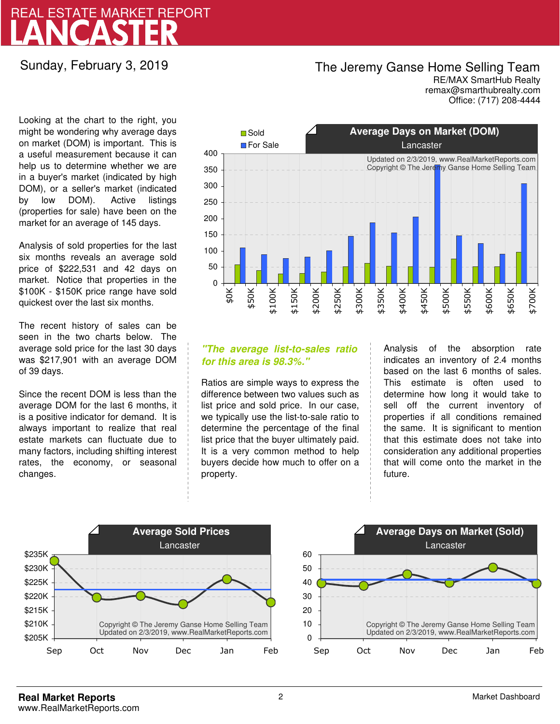# LANCASTER REAL ESTATE MARKET REPORT

### Sunday, February 3, 2019

## The Jeremy Ganse Home Selling Team

remax@smarthubrealty.com RE/MAX SmartHub Realty Office: (717) 208-4444

Looking at the chart to the right, you might be wondering why average days on market (DOM) is important. This is a useful measurement because it can help us to determine whether we are in a buyer's market (indicated by high DOM), or a seller's market (indicated by low DOM). Active listings (properties for sale) have been on the market for an average of 145 days.

Analysis of sold properties for the last six months reveals an average sold price of \$222,531 and 42 days on market. Notice that properties in the \$100K - \$150K price range have sold quickest over the last six months.

The recent history of sales can be seen in the two charts below. The average sold price for the last 30 days was \$217,901 with an average DOM of 39 days.

Since the recent DOM is less than the average DOM for the last 6 months, it is a positive indicator for demand. It is always important to realize that real estate markets can fluctuate due to many factors, including shifting interest rates, the economy, or seasonal changes.



### **"The average list-to-sales ratio for this area is 98.3%."**

Ratios are simple ways to express the difference between two values such as list price and sold price. In our case, we typically use the list-to-sale ratio to determine the percentage of the final list price that the buyer ultimately paid. It is a very common method to help buyers decide how much to offer on a property.

Analysis of the absorption rate indicates an inventory of 2.4 months based on the last 6 months of sales. This estimate is often used to determine how long it would take to sell off the current inventory of properties if all conditions remained the same. It is significant to mention that this estimate does not take into consideration any additional properties that will come onto the market in the future.



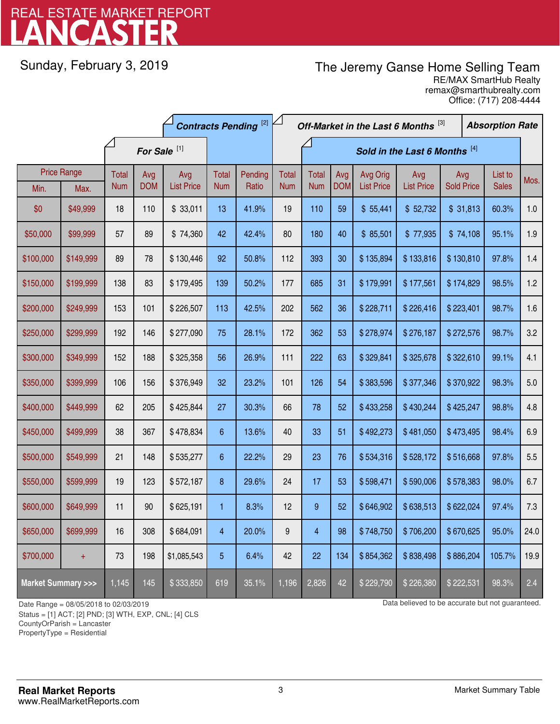# LANCASTER REAL ESTATE MARKET REPORT

Sunday, February 3, 2019

# The Jeremy Ganse Home Selling Team

remax@smarthubrealty.com RE/MAX SmartHub Realty Office: (717) 208-4444

|                                    |           | <b>Contracts Pending [2]</b> |            |                   |            | Off-Market in the Last 6 Months [3] |                               |              |            |                   |                   | <b>Absorption Rate</b> |  |              |       |
|------------------------------------|-----------|------------------------------|------------|-------------------|------------|-------------------------------------|-------------------------------|--------------|------------|-------------------|-------------------|------------------------|--|--------------|-------|
|                                    |           | For Sale <sup>[1]</sup>      |            |                   |            |                                     | Sold in the Last 6 Months [4] |              |            |                   |                   |                        |  |              |       |
| <b>Price Range</b>                 |           | <b>Total</b>                 | Avg        | Avg               | Total      | Pending                             | <b>Total</b>                  | <b>Total</b> | Avg        | Avg Orig          | Avg               | Avg                    |  | List to      | Mos.  |
| Min.                               | Max.      | <b>Num</b>                   | <b>DOM</b> | <b>List Price</b> | <b>Num</b> | Ratio                               | <b>Num</b>                    | <b>Num</b>   | <b>DOM</b> | <b>List Price</b> | <b>List Price</b> | <b>Sold Price</b>      |  | <b>Sales</b> |       |
| \$0                                | \$49,999  | 18                           | 110        | \$33,011          | 13         | 41.9%                               | 19                            | 110          | 59         | \$55,441          | \$52,732          | \$31,813               |  | 60.3%        | 1.0   |
| \$50,000                           | \$99,999  | 57                           | 89         | \$74,360          | 42         | 42.4%                               | 80                            | 180          | 40         | \$85,501          | \$77,935          | \$74,108               |  | 95.1%        | 1.9   |
| \$100,000                          | \$149,999 | 89                           | 78         | \$130,446         | 92         | 50.8%                               | 112                           | 393          | 30         | \$135,894         | \$133,816         | \$130,810              |  | 97.8%        | 1.4   |
| \$150,000                          | \$199,999 | 138                          | 83         | \$179,495         | 139        | 50.2%                               | 177                           | 685          | 31         | \$179,991         | \$177,561         | \$174,829              |  | 98.5%        | 1.2   |
| \$200,000                          | \$249,999 | 153                          | 101        | \$226,507         | 113        | 42.5%                               | 202                           | 562          | 36         | \$228,711         | \$226,416         | \$223,401              |  | 98.7%        | 1.6   |
| \$250,000                          | \$299,999 | 192                          | 146        | \$277,090         | 75         | 28.1%                               | 172                           | 362          | 53         | \$278,974         | \$276,187         | \$272,576              |  | 98.7%        | 3.2   |
| \$300,000                          | \$349,999 | 152                          | 188        | \$325,358         | 56         | 26.9%                               | 111                           | 222          | 63         | \$329,841         | \$325,678         | \$322,610              |  | 99.1%        | 4.1   |
| \$350,000                          | \$399,999 | 106                          | 156        | \$376,949         | 32         | 23.2%                               | 101                           | 126          | 54         | \$383,596         | \$377,346         | \$370,922              |  | 98.3%        | $5.0$ |
| \$400,000                          | \$449,999 | 62                           | 205        | \$425,844         | 27         | 30.3%                               | 66                            | 78           | 52         | \$433,258         | \$430,244         | \$425,247              |  | 98.8%        | 4.8   |
| \$450,000                          | \$499,999 | 38                           | 367        | \$478,834         | 6          | 13.6%                               | 40                            | 33           | 51         | \$492,273         | \$481,050         | \$473,495              |  | 98.4%        | 6.9   |
| \$500,000                          | \$549,999 | 21                           | 148        | \$535,277         | 6          | 22.2%                               | 29                            | 23           | 76         | \$534,316         | \$528,172         | \$516,668              |  | 97.8%        | 5.5   |
| \$550,000                          | \$599,999 | 19                           | 123        | \$572,187         | 8          | 29.6%                               | 24                            | 17           | 53         | \$598,471         | \$590,006         | \$578,383              |  | 98.0%        | 6.7   |
| \$600,000                          | \$649,999 | 11                           | 90         | \$625,191         | 1          | 8.3%                                | 12                            | 9            | 52         | \$646,902         | \$638,513         | \$622,024              |  | 97.4%        | 7.3   |
| \$650,000                          | \$699,999 | 16                           | 308        | \$684,091         | 4          | 20.0%                               | 9                             | 4            | 98         | \$748,750         | \$706,200         | \$670,625              |  | 95.0%        | 24.0  |
| \$700,000                          | $+$       | 73                           | 198        | \$1,085,543       | 5          | 6.4%                                | 42                            | 22           | 134        | \$854,362         | \$838,498         | \$886,204              |  | 105.7%       | 19.9  |
| <b>Market Summary &gt;&gt;&gt;</b> |           | 1,145                        | 145        | \$333,850         | 619        | 35.1%                               | 1,196                         | 2,826        | 42         | \$229,790         | \$226,380         | \$222,531              |  | 98.3%        | 2.4   |

Status = [1] ACT; [2] PND; [3] WTH, EXP, CNL; [4] CLS

CountyOrParish = Lancaster

PropertyType = Residential

1

Date Range = 08/05/2018 to 02/03/2019 Date Range = 08/05/2018 to 02/03/2019